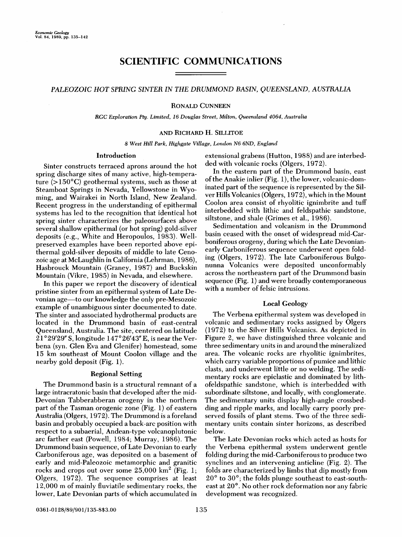# **SCIENTIFIC COMMUNICATIONS**

## **PALEOZOIC HOT SPRING SINTER IN THE DRUMMOND BASIN, QUEENSLAND, AUSTRALIA**

#### **RONALD CUNNEEN**

**RGC Exploration Pty. Limited, 16 Douglas Street, Milton, Queensland 4064, Australia** 

#### **AND RICHARD H. SILLITOE**

**8 West Hill Park, Highgate Village, London N6 6ND, England** 

### **Introduction**

**Sinter constructs terraced aprons around the hot spring discharge sites of many active, high-temperature (>150øC) geothermal systems, such as those at Steamboat Springs in Nevada, Yellowstone in Wyoming, and Wairakei in North Island, New Zealand. Recent progress in the understanding of epithermal systems has led to the recognition that identical hot spring sinter characterizes the paleosurfaces above several shallow epithermal (or hot spring) gold-silver deposits (e.g., White and Heropoulos, 1983). Wellpreserved examples have been reported above epithermal gold-silver deposits of middle to late Cenozoic age at McLaughlin in California (Lehrman, 1986), Hasbrouck Mountain (Graney, 1987) and Buckskin Mountain (Vikre, 1985) in Nevada, and elsewhere.** 

**In this paper we report the discovery of identical pristine sinter from an epithermal system of Late Devonian age--to our knowledge the only pre-Mesozoic**  example of unambiguous sinter documented to date. **The sinter and associated hydrothermal products are located in the Drummond basin of east-central Queensland, Australia. The site, centered on latitude 21 ø29'29" S, longitude 147ø26'43 •' E, is near the Verbena (syn. Glen Eva and Glenifer) homestead, some 15 km southeast of Mount Coolon village and the nearby gold deposit (Fig. 1).** 

## **Regional Setting**

**The Drummond basin is a structural remnant of a large intracratonic basin that developed after the mid-Devonian Tabberabberan orogeny in the northern part of the Tasman orogenic zone (Fig. 1) of eastern Australia (Olgers, 1972). The Drummond is a foreland basin and probably occupied a back-arc position with respect to a subaerial, Andean-type volcanoplutonic arc farther east (Powell, 1984; Murray, 1986). The Drummond basin sequence, of Late Devonian to early Carboniferous age, was deposited on a basement of early and mid-Paleozoic metamorphic and granitic**  rocks and crops out over some  $25,000 \text{ km}^2$  (Fig. 1; **Olgers, 1972). The sequence comprises at least 12,000 m of mainly fiuviatile sedimentary rocks, the lower, Late Devonian parts of which accumulated in** 

**extensional grabens (Hutton, 1988) and are interbedded with volcanic rocks (Olgers, 1972).** 

**In the eastern part of the Drummond basin, east of the Anakie inlier (Fig. 1), the lower, volcanic-dominated part of the sequence is represented by the Silver Hills Volcanics (Olgers, 1972), which in the Mount Coolon area consist of rhyolitic ignimbrite and tuff interbedded with lithic and feldspathic sandstone, siltstone, and shale (Grimes et al., 1986).** 

**Sedimentation and volcanism in the Drummond basin ceased with the onset of widespread mid-Carboniferous orogeny, during which the Late Devonianearly Carboniferous sequence underwent open folding (Olgers, 1972). The late Carboniferous Bulgonunna Volcanics were deposited unconformably across the northeastern part of the Drummond basin sequence (Fig. 1) and were broadly contemporaneous with a number of felsic intrusions.** 

## **Local Geology**

**The Verbena epithermal system was developed in volcanic and sedimentary rocks assigned by Olgers (1972) to the Silver Hills Volcanics. As depicted in Figure 2, we have distinguished three volcanic and three sedimentary units in and around the mineralized area. The volcanic rocks are rhyolitic ignimbrites, which carry variable proportions of pumice and lithic clasts, and underwent little or no welding. The sedimentary rocks are epiclastic and dominated by lithofeldspathic sandstone, which is interbedded with subordinate siltstone, and locally, with conglomerate. The sedimentary units display high-angle crossbedding and ripple marks, and locally carry poorly preserved fossils of plant stems. Two of the three sedimentary units contain sinter horizons, as described below.** 

**The Late Devonian rocks which acted as hosts for the Verbena epithermal system underwent gentle folding during the mid-Carboniferous to produce two synclines and an intervening anticline (Fig. 2). The folds are characterized by limbs that dip mostly from**  20<sup>°</sup> to 30<sup>°</sup>; the folds plunge southeast to east-southeast at 20°. No other rock deformation nor any fabric **development was recognized.**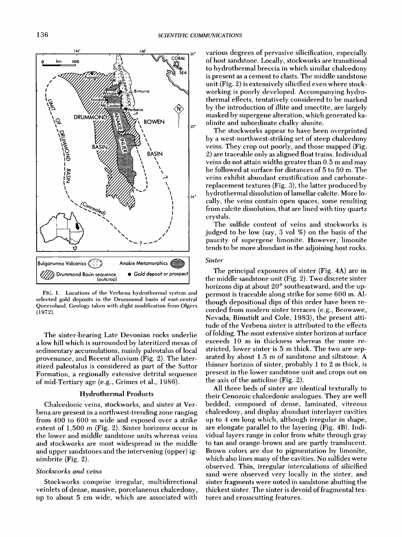

**FIG. l. Locations of the Verbena hydrothermal system and selected gold deposits in the Drummond basin of east-central Queensland. Geology taken with slight modification from Olgers (1972).** 

**The sinter-bearing Late Devonian rocks underlie a low hill which is surrounded by lateritized mesas of sedimentary accumulations, mainly paleotalus of local provenance, and Recent alluvium (Fig. 2). The lateritized paleotalus is considered as part of the Suttor Formation, a regionally extensive detrital sequence of mid-Tertiary age (e.g., Grimes et al., 1986).** 

## **Hydrothermal Products**

**Chalcedonic veins, stockworks, and sinter at Verbena are present in a northwest-trending zone ranging from 400 to 600 m wide and exposed over a strike extent of 1,500 m (Fig. 2). Sinter horizons occur in the lower and middle sandstone units whereas veins and stockworks are most widespread in the middle and upper sandstones and the intervening (upper) ighimbrite (Fig. 2).** 

#### **Stockworks and veins**

**Stockworks comprise irregular, multidirectional veinlets of dense, massive, porcelaneous chalcedony, up to about 5 cm wide, which are associated with** 

**various degrees of pervasive silicification, especially of host sandstone. Locally, stockworks are transitional to hydrothermal breccia in which similar chalcedony is present as a cement to clasts. The middle sandstone unit (Fig. 2) is extensively silicified even where stockworking is poorly developed. Accompanying hydrothermal effects, tentatively considered to be marked by the introduction of illite and smectite, are largely masked by supergene alteration, which generated kaolinite and subordinate chalky alunite.** 

**The stockworks appear to have been overprinted by a west-northwest-striking set of steep chalcedony veins. They crop out poorly, and those mapped (Fig. 2) are traceable only as aligned float trains. Individual veins do not attain widths greater than 0.5 m and may be followed at surface for distances of 5 to 50 m. The veins exhibit abundant crustification and carbonate**replacement textures (Fig. 3), the latter produced by **hydrothermal dissolution of lameliar calcite. More locally, the veins contain open spaces, some resulting from calcite dissolution, that are lined with tiny quartz crystals.** 

**The sulfide content of veins and stockworks is judged to be low (say, 3 vol %) on the basis of the paucity of supergene limonite. However, limonite tends to be more abundant in the adjoining host rocks.** 

## **Sinter**

**The principal exposures of sinter (Fig. 4A) are in the middle sandstone unit (Fig. 2). Two discrete sinter**  horizons dip at about 20° southeastward, and the up**permost is traceable along strike for some 600 m. Although depositional dips of this order have been recorded from modern sinter terraces (e.g., Beowawe, Nevada; Rimstidt and Cole, 1983), the present attitude of the Verbena sinter is attributed to the effects of folding. The most extensive sinter horizon at surface exceeds 10 m in thickness whereas the more restricted, lower sinter is 5 m thick. The two are separated by about 1.5 m of sandstone and siltstone. A thinner horizon of sinter, probably i to 2 m thick, is present in the lower sandstone unit and crops out on the axis of the anticline (Fig. 2).** 

**All three beds of sinter are identical texturally to their Cenozoic chalcedonic analogues. They are well bedded, composed of dense, laminated, vitreous chalcedony, and display abundant interlayer cavities up to 4 cm long which, although irregular in shape, are elongate parallel to the layering (Fig. 4B). Individual layers range in color from white through gray to tan and orange-brown and are partly translucent. Brown colors are due to pigmentation by limonite, which also lines many of the cavities. No sulfides were observed. Thin, irregular intercalations of silicified sand were observed very locally in the sinter, and sinter fragments were noted in sandstone abutting the thickest sinter. The sinter is devoid of fragmental textures and crosscutting features.**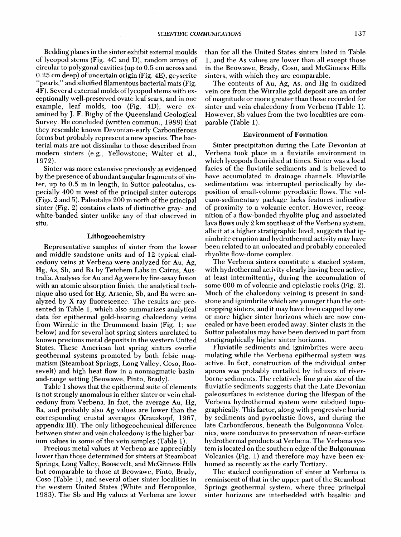**Bedding planes in the sinter exhibit external moulds of lycopod stems (Fig. 4C and D), random arrays of circular to polygonal cavities (up to 0.5 cm across and 0.25 cm deep) of uncertain origin (Fig. 4E), geyserite "pearls," and silicified filamentous bacterial mats (Fig. 4F). Several external molds of lycopod stems with exceptionally well-preserved ovate leaf scars, and in one example, leaf molds, too (Fig. 4D), were examined by J. F. Rigby of the Queensland Geological Survey. He concluded (written commun., 1988) that they resemble known Devonian-early Carboniferous forms but probably represent a new species. The bacterial mats are not dissimilar to those described from modern sinters (e.g., Yellowstone; Walter et al., 1972).** 

**Sinter was more extensive previously as evidenced**  by the presence of abundant angular fragments of sin**ter, up to 0.5 m in length, in Suttor paleotalus, especially 400 m west of the principal sinter outcrops (Figs. 2 and 5). Paleotalus 200 m north of the principal sinter (Fig. 2) contains clasts of distinctive gray- and white-banded sinter unlike any of that observed in situ.** 

#### **Lithogeoehemistry**

**Representative samples of sinter from the lower and middle sandstone units and of 12 typical chalcedony veins at Verbena were analyzed for Au, Ag, Hg, As, Sb, and Ba by Tetchem Labs in Cairns, Australia. Analyses for Au and Ag were by fire-assay fusion with an atomic absorption finish, the analytical technique also used for Hg. Arsenic, Sb, and Ba were analyzed by X-ray fluorescence. The results are presented in Table 1, which also summarizes analytical data for epithermal gold-bearing chalcedony veins from Wirralie in the Drummond basin (Fig. 1; see below) and for several hot spring sinters unrelated to known precious metal deposits in the western United States. These American hot spring sinters overlie geothermal systems promoted by both felsic magmatism (Steamboat Springs, Long Valley, Coso, Roosevelt) and high heat flow in a nonmagmatic basinand-range setting (Beowawe, Pinto, Brady).** 

**Table i shows that the epithermal suite of elements is not strongly anomalous in either sinter or vein chalcedony from Verbena. In fact, the average Au, Hg, Ba, and probably also Ag values are lower than the corresponding crustal averages (Krauskopf, 1967, appendix III). The only lithogeochemical difference between sinter and vein chalcedony is the higher barium values in some of the vein samples (Table 1).** 

**Precious metal values at Verbena are appreciably lower than those determined for sinters at Steamboat Springs, Long Valley, Roosevelt, and McGinness Hills but comparable to those at Beowawe, Pinto, Brady, Coso (Table 1), and several other sinter localities in the western United States (White and Heropoulos, 1983). The Sb and Hg values at Verbena are lower**  **than for all the United States sinters listed in Table 1, and the As values are lower than all except those in the Beowawe, Brady, Coso, and McGinness Hills sinters, with which they are comparable.** 

**The contents of Au, Ag, As, and Hg in oxidized vein ore from the Wirralie gold deposit are an order of magnitude or more greater than those recorded for sinter and vein chalcedony from Verbena (Table 1). However, Sb values from the two localities are comparable (Table 1).** 

## **Environment of Formation**

**Sinter precipitation during the Late Devonian at Verbena took place in a fiuviatile environment in which lycopods flourished at times. Sinter was a local facies of the fiuviatile sediments and is believed to have accumulated in drainage channels. Fluviatile sedimentation was interrupted periodically by deposition of small-volume pyroclastic flows. The volcano-sedimentary package lacks features indicative of proximity to a volcanic center. However, recognition of a flow-banded rhyolite plug and associated lava flows only 2 km southeast of the Verbena system, albeit at a higher stratigraphic level, suggests that ignimbrite eruption and hydrothermal activity may have been related to an unlocated and probably concealed rhyolite flow-dome complex.** 

**The Verbena sinters constitute a stacked system, with hydrothermal activity clearly having been active, at least intermittently, during the accumulation of some 600 m of volcanic and epiclastic rocks (Fig. 2). Much of the chalcedony veining is present in sandstone and ignimbrite which are younger than the outcropping sinters, and it may have been capped by one or more higher sinter horizons which are now concealed or have been eroded away. Sinter clasts in the Suttor paleotalus may have been derived in part from stratigraphically higher sinter horizons.** 

**Fluviatile sediments and ignimbrites were accumulating while the Verbena epithermal system was active. In fact, construction of the individual sinter aprons was probably curtailed by influxes of riverborne sediments. The relatively fine grain size of the**  fluviatile sediments suggests that the Late Devonian **paleosurfaces in existence during the lifespan of the Verbena hydrothermal system were subdued topographically. This factor, along with progressive burial by sediments and pyroclastic flows, and during the late Carboniferous, beneath the Bulgonunna Volcanics, were conducive to preservation of near-surface hydrothermal products at Verbena. The Verbena system is located on the southern edge of the Bulgonunna Volcanics (Fig. 1) and therefore may have been exhumed as recently as the early Tertiary.** 

**The stacked configuration of sinter at Verbena is reminiscent of that in the upper part of the Steamboat Springs geothermal system, where three principal sinter horizons are interbedded with basaltic and**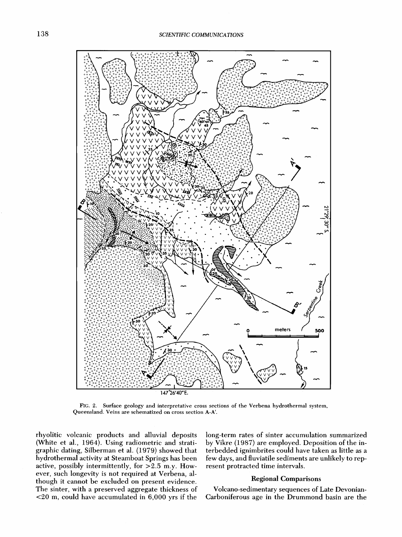

**FIG. 2. Surface geology and interpretative cross sections of the Verbena hydrothermal system, Queensland. Veins are schematized on cross section A-A'.** 

**rhyolitic volcanic products and alluvial deposits (White et al., 1964). Using radiometric and stratigraphic dating, Silberman et al. (1979) showed that hydrothermal activity at Steamboat Springs has been active, possibly intermittently, for >2.5 m.y. However, such longevity is not required at Verbena, although it cannot be excluded on present evidence. The sinter, with a preserved aggregate thickness of <20 m, could have accumulated in 6,000 yrs if the**  **long-term rates of sinter accumulation summarized by Vikre (1987) are employed. Deposition of the interbedded ignimbrites could have taken as little as a few days, and fiuviatile sediments are unlikely to represent protracted time intervals.** 

## **Regional Comparisons**

**Volcano-sedimentary sequences of Late Devonian-Carboniferous age in the Drummond basin are the**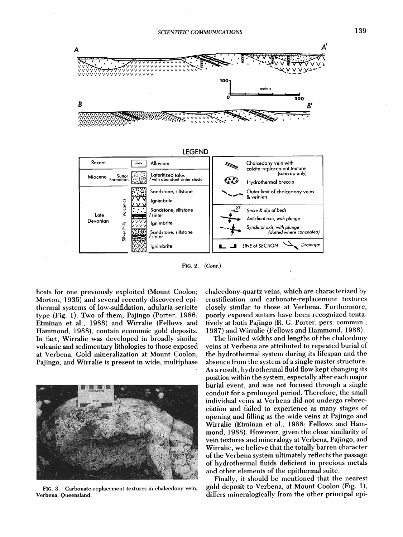



FIG. 2. (Cont.)

hosts for one previously exploited (Mount Coolon; Morton, 1935) and several recently discovered epithermal systems of low-sulfidation, adularia-sericite type (Fig. 1). Two of them, Pajingo (Porter, 1986; Etminan et al., 1988) and Wirralie (Fellows and Hammond, 1988), contain economic gold deposits. In fact, Wirralie was developed in broadly similar volcanic and sedimentary lithologies to those exposed at Verbena. Gold mineralization at Mount Coolon, Pajingo, and Wirralie is present in wide, multiphase



FIG. 3. Carbonate-replacement textures in chalcedony vein, Verbena, Queensland.

chalcedony-quartz veins, which are characterized by crustification and carbonate-replacement textures closely similar to those at Verbena. Furthermore, poorly exposed sinters have been recognized tentatively at both Pajingo (R. G. Porter, pers. commun., 1987) and Wirralie (Fellows and Hammond, 1988).

The limited widths and lengths of the chalcedony veins at Verbena are attributed to repeated burial of the hydrothermal system during its lifespan and the absence from the system of a single master structure. As a result, hydrothermal fluid flow kept changing its position within the system, especially after each major burial event, and was not focused through a single conduit for a prolonged period. Therefore, the small individual veins at Verbena did not undergo rebrecciation and failed to experience as many stages of opening and filling as the wide veins at Pajingo and Wirralie (Etminan et al., 1988; Fellows and Hammond, 1988). However, given the close similarity of vein textures and mineralogy at Verbena, Pajingo, and Wirralie, we believe that the totally barren character of the Verbena system ultimately reflects the passage of hydrothermal fluids deficient in precious metals and other elements of the epithermal suite.

Finally, it should be mentioned that the nearest gold deposit to Verbena, at Mount Coolon (Fig. 1), differs mineralogically from the other principal epi-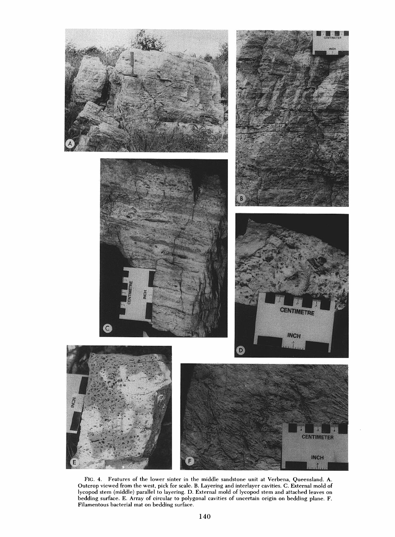

FIG. 4. Features of the lower sinter in the middle sandstone unit at Verbena, Queensland. A. Outcrop viewed from the west, pick for scale. B. Layering and interlayer cavities. C. External mold of **!¾copod stem (middle) parallel to layering. D. External mold of !¾copod stem and attached leaves on bedding surface. E. Array of circular to polygonal cavities of uncertain origin on bedding plane. F. Filamentous bacterial mat on bedding surface.**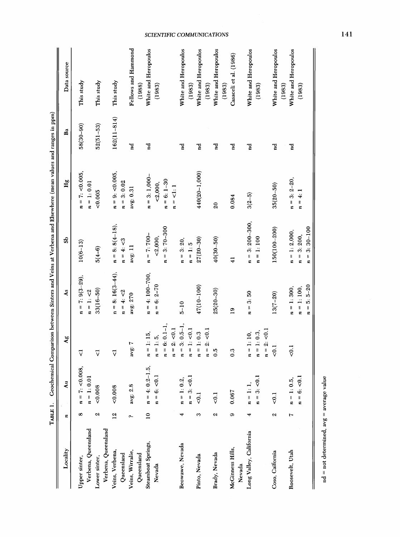|                            | ТАВLЕ 1.        | Geochemical          |                                             |                               |                                    | Comparison between Sinters and Veins at Verbena and Elsewhere (mean values and ranges in ppm) |                 |                                |
|----------------------------|-----------------|----------------------|---------------------------------------------|-------------------------------|------------------------------------|-----------------------------------------------------------------------------------------------|-----------------|--------------------------------|
| Locality                   | t,              | $\lambda$ u          | $\mathbf{A}$ g                              | As.                           | ಜಿ                                 | Hg                                                                                            | Ba              | Data source                    |
| Upper sinter,              | $\infty$        | $n = 7$ : < 0.008,   | 7                                           | $= 7: 9(3-29),$<br>$\ddot{z}$ | $10(6 - 13)$                       | $n = 7$ : <0.005,                                                                             | $58(30 - 90)$   | This study                     |
| Verbena, Queensland        |                 | $n = 1: 0.01$        |                                             | $n = 1: < 2$                  |                                    | $n = 1: 0.01$                                                                                 |                 |                                |
| Lower sinter,              | Z               | 0.008                | $\vec{\nabla}$                              | $33(16 - 50)$                 | $5(4-6)$                           | 0005                                                                                          | $52(51 - 53)$   | This study                     |
| Verbena, Queensland        |                 |                      |                                             |                               |                                    |                                                                                               |                 |                                |
| Veins, Verbena,            | $\frac{2}{2}$   | 0.008                | $\vec{\triangledown}$                       | $n = 8:16(3-44),$             | $n = 8: 8(4-18),$                  | $n = 9$ : <0.005,                                                                             | $162(11 - 814)$ | This study                     |
| Queensland                 |                 |                      |                                             | $n = 4: < 2$                  | $n = 4: <3$                        | $n = 3:0.02$                                                                                  |                 |                                |
| Veins, Wirralie,           | c.,             | avg: $2.8$           | avg: 7                                      | avg: 270                      | avg: 11                            | avg: 0.31                                                                                     | nd<br>1         | Fellows and Hammond            |
| $Q$ ueensland              |                 |                      |                                             |                               |                                    |                                                                                               |                 | (1988)                         |
| Steamboat Springs,         | $\overline{10}$ | $n = 4: 0.2 - 1.5$ , | $n = 1:15$                                  | $n = 4:100-700,$              | $n = 7:700-$                       | $n = 3:1,000-$                                                                                | Pu              | White and Heropoulos           |
| Nevada                     |                 | $= 6; < 0.1$         | $n = 1: 5,$                                 | $= 6: 2 - 70$<br>t,           | < 2,000,                           | < 2,000,                                                                                      |                 | (1983)                         |
|                            |                 |                      | $n = 6: 0.1 - 1,$                           |                               | $= 3:70 - 300$<br>$\boldsymbol{r}$ | $n = 6: 1 - 30$                                                                               |                 |                                |
|                            |                 |                      | $n = 2: < 0.1$                              |                               |                                    | $n = 1:1$                                                                                     |                 |                                |
| Beowawe, Nevada            | ٩               | $n = 1: 0.2,$        | $3: 0.5-1,$<br>$\mathbf{I}$<br>$\mathbf{r}$ | $5 - 10$                      | $n = 3:20,$                        |                                                                                               | 겉               | White and Heropoulos           |
|                            |                 | $n = 3$ ; < 0.1      | $n = 1$ : <0.1                              |                               | $n = 1:5$                          |                                                                                               |                 | (1983)                         |
| Pinto, Nevada              | S               | 50.1                 | $= 1: 0.3$<br>t,                            | 47(10-100)                    | $27(20 - 30)$                      | $440(20 - 1,000)$                                                                             | P               | White and Heropoulos           |
|                            |                 |                      | $n = 2: < 0.1$                              |                               |                                    |                                                                                               |                 | (1983)                         |
| Brady, Nevada              | Z               | 50.1                 | $\overline{0}$ .                            | $25(20 - 30)$                 | $40(30 - 50)$                      | 20                                                                                            | 곁               | White and Heropoulos           |
|                            |                 |                      |                                             |                               |                                    |                                                                                               |                 | (1983)                         |
| McGinness Hills,<br>Nevada | ග               | 0.067                | $\ddot{0}$ .3                               | $\overline{19}$               | $\frac{1}{4}$                      | 0.084                                                                                         | 걸               | Casaceli et al. (1986)         |
| Long Valley, California    |                 | $n = 1:$             | $n = 1:10,$                                 | 3.50<br>$\frac{1}{2}$         | $n = 3:200-300,$                   | $3(2-5)$                                                                                      | Pq              | White and Heropoulos           |
|                            |                 | $n = 3$ : <0.1       | $n = 1:0.3$                                 |                               | $n = 1:100$                        |                                                                                               |                 | (1983)                         |
|                            |                 |                      | $n = 2: < 0.1$                              |                               |                                    |                                                                                               |                 |                                |
| Coso, Caifornia            | Z               | 50.1                 | $\overline{0}$                              | $13(7 - 20)$                  | $150(100 - 200)$                   | $35(20 - 50)$                                                                                 | nd<br>1         | White and Heropoulos<br>(1983) |
| Roosevelt, Utah            | ٣               | $n = 1:0.5,$         | 50.1                                        | $n = 1:300,$                  | $n = 1: 2,000,$                    | $n = 3: 2-20,$                                                                                | Pq              | White and Heropoulos           |
|                            |                 | $n = 6; < 0.1$       |                                             | $n = 1:100,$                  | $n = 3:200$ ,                      | $n = 4:1$                                                                                     |                 | (1983)                         |
|                            |                 |                      |                                             | $n = 5: 5 - 20$               | $n = 3:30-100$                     |                                                                                               |                 |                                |

 $nd = not determined, avg = average value$ 

SCIENTIFIC COMMUNICATIONS